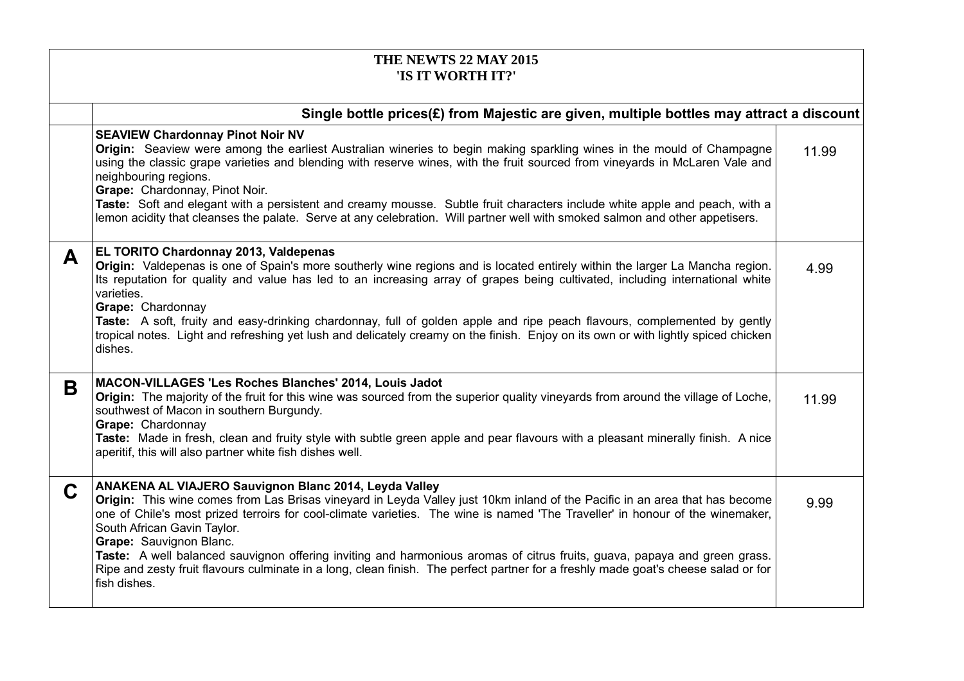| THE NEWTS 22 MAY 2015<br>'IS IT WORTH IT?'                                                  |                                                                                                                                                                                                                                                                                                                                                                                                                                                                                                                                                                                                                                                                    |       |
|---------------------------------------------------------------------------------------------|--------------------------------------------------------------------------------------------------------------------------------------------------------------------------------------------------------------------------------------------------------------------------------------------------------------------------------------------------------------------------------------------------------------------------------------------------------------------------------------------------------------------------------------------------------------------------------------------------------------------------------------------------------------------|-------|
| Single bottle prices $(E)$ from Majestic are given, multiple bottles may attract a discount |                                                                                                                                                                                                                                                                                                                                                                                                                                                                                                                                                                                                                                                                    |       |
|                                                                                             | <b>SEAVIEW Chardonnay Pinot Noir NV</b><br>Origin: Seaview were among the earliest Australian wineries to begin making sparkling wines in the mould of Champagne<br>using the classic grape varieties and blending with reserve wines, with the fruit sourced from vineyards in McLaren Vale and<br>neighbouring regions.<br>Grape: Chardonnay, Pinot Noir.<br>Taste: Soft and elegant with a persistent and creamy mousse. Subtle fruit characters include white apple and peach, with a<br>lemon acidity that cleanses the palate. Serve at any celebration. Will partner well with smoked salmon and other appetisers.                                          | 11.99 |
| A                                                                                           | EL TORITO Chardonnay 2013, Valdepenas<br>Origin: Valdepenas is one of Spain's more southerly wine regions and is located entirely within the larger La Mancha region.<br>Its reputation for quality and value has led to an increasing array of grapes being cultivated, including international white<br>varieties.<br>Grape: Chardonnay<br>Taste: A soft, fruity and easy-drinking chardonnay, full of golden apple and ripe peach flavours, complemented by gently<br>tropical notes. Light and refreshing yet lush and delicately creamy on the finish. Enjoy on its own or with lightly spiced chicken<br>dishes.                                             | 4.99  |
| B                                                                                           | MACON-VILLAGES 'Les Roches Blanches' 2014, Louis Jadot<br>Origin: The majority of the fruit for this wine was sourced from the superior quality vineyards from around the village of Loche,<br>southwest of Macon in southern Burgundy.<br>Grape: Chardonnay<br>Taste: Made in fresh, clean and fruity style with subtle green apple and pear flavours with a pleasant minerally finish. A nice<br>aperitif, this will also partner white fish dishes well.                                                                                                                                                                                                        | 11.99 |
| C                                                                                           | ANAKENA AL VIAJERO Sauvignon Blanc 2014, Leyda Valley<br>Origin: This wine comes from Las Brisas vineyard in Leyda Valley just 10km inland of the Pacific in an area that has become<br>one of Chile's most prized terroirs for cool-climate varieties. The wine is named 'The Traveller' in honour of the winemaker,<br>South African Gavin Taylor.<br>Grape: Sauvignon Blanc.<br>Taste: A well balanced sauvignon offering inviting and harmonious aromas of citrus fruits, guava, papaya and green grass.<br>Ripe and zesty fruit flavours culminate in a long, clean finish. The perfect partner for a freshly made goat's cheese salad or for<br>fish dishes. | 9.99  |